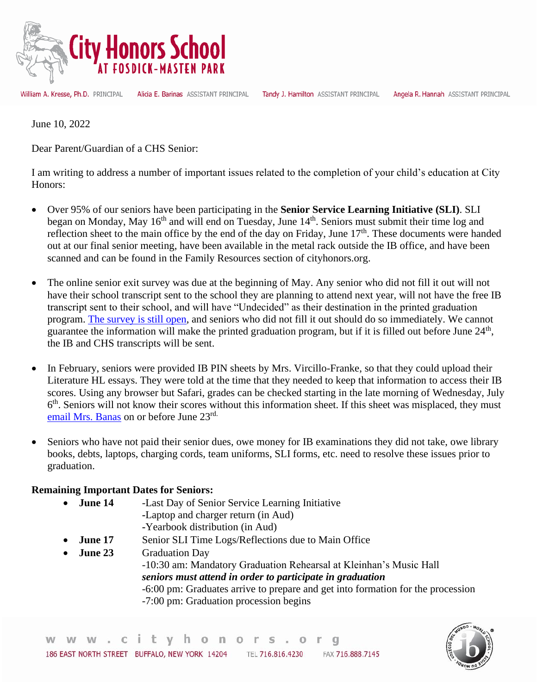

William A. Kresse, Ph.D. PRINCIPAL

Alicia E. Barinas ASSISTANT PRINCIPAL

Tandy J. Hamilton ASSISTANT PRINCIPAL Angela R. Hannah ASSISTANT PRINCIPAL

June 10, 2022

Dear Parent/Guardian of a CHS Senior:

I am writing to address a number of important issues related to the completion of your child's education at City Honors:

- Over 95% of our seniors have been participating in the **Senior Service Learning Initiative (SLI)**. SLI began on Monday, May 16<sup>th</sup> and will end on Tuesday, June 14<sup>th</sup>. Seniors must submit their time log and reflection sheet to the main office by the end of the day on Friday, June 17<sup>th</sup>. These documents were handed out at our final senior meeting, have been available in the metal rack outside the IB office, and have been scanned and can be found in the Family Resources section of cityhonors.org.
- The online senior exit survey was due at the beginning of May. Any senior who did not fill it out will not have their school transcript sent to the school they are planning to attend next year, will not have the free IB transcript sent to their school, and will have "Undecided" as their destination in the printed graduation program. [The survey is still open,](https://forms.gle/uc7WxYngZmtxqzDp6) and seniors who did not fill it out should do so immediately. We cannot guarantee the information will make the printed graduation program, but if it is filled out before June 24<sup>th</sup>, the IB and CHS transcripts will be sent.
- In February, seniors were provided IB PIN sheets by Mrs. Vircillo-Franke, so that they could upload their Literature HL essays. They were told at the time that they needed to keep that information to access their IB scores. Using any browser but Safari, grades can be checked starting in the late morning of Wednesday, July 6<sup>th</sup>. Seniors will not know their scores without this information sheet. If this sheet was misplaced, they must [email Mrs. Banas](mailto:ebanas@buffaloschools.org) on or before June 23rd.
- Seniors who have not paid their senior dues, owe money for IB examinations they did not take, owe library books, debts, laptops, charging cords, team uniforms, SLI forms, etc. need to resolve these issues prior to graduation.

## **Remaining Important Dates for Seniors:**

• **June 14** -Last Day of Senior Service Learning Initiative  **-**Laptop and charger return (in Aud)  **-**Yearbook distribution (in Aud) **June 17** Senior SLI Time Logs/Reflections due to Main Office **June 23** Graduation Day -10:30 am: Mandatory Graduation Rehearsal at Kleinhan's Music Hall *seniors must attend in order to participate in graduation* -6:00 pm: Graduates arrive to prepare and get into formation for the procession -7:00 pm: Graduation procession begins



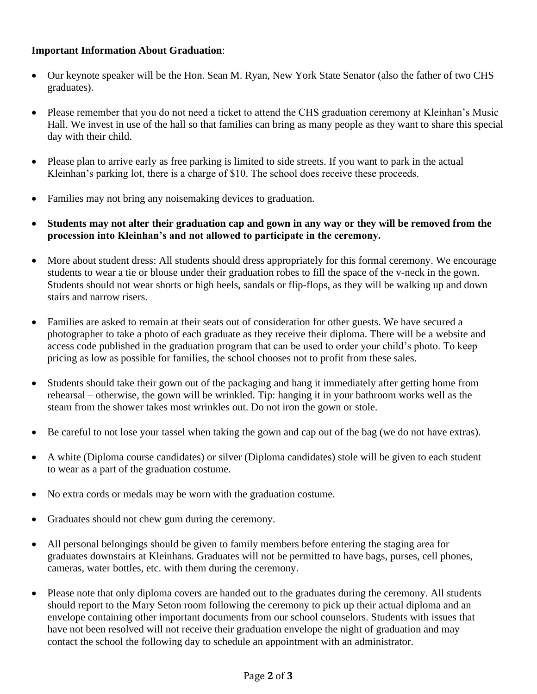## **Important Information About Graduation**:

- Our keynote speaker will be the Hon. Sean M. Ryan, New York State Senator (also the father of two CHS graduates).
- Please remember that you do not need a ticket to attend the CHS graduation ceremony at Kleinhan's Music Hall. We invest in use of the hall so that families can bring as many people as they want to share this special day with their child.
- Please plan to arrive early as free parking is limited to side streets. If you want to park in the actual Kleinhan's parking lot, there is a charge of \$10. The school does receive these proceeds.
- Families may not bring any noisemaking devices to graduation.
- **Students may not alter their graduation cap and gown in any way or they will be removed from the procession into Kleinhan's and not allowed to participate in the ceremony.**
- More about student dress: All students should dress appropriately for this formal ceremony. We encourage students to wear a tie or blouse under their graduation robes to fill the space of the v-neck in the gown. Students should not wear shorts or high heels, sandals or flip-flops, as they will be walking up and down stairs and narrow risers.
- Families are asked to remain at their seats out of consideration for other guests. We have secured a photographer to take a photo of each graduate as they receive their diploma. There will be a website and access code published in the graduation program that can be used to order your child's photo. To keep pricing as low as possible for families, the school chooses not to profit from these sales.
- Students should take their gown out of the packaging and hang it immediately after getting home from rehearsal – otherwise, the gown will be wrinkled. Tip: hanging it in your bathroom works well as the steam from the shower takes most wrinkles out. Do not iron the gown or stole.
- Be careful to not lose your tassel when taking the gown and cap out of the bag (we do not have extras).
- A white (Diploma course candidates) or silver (Diploma candidates) stole will be given to each student to wear as a part of the graduation costume.
- No extra cords or medals may be worn with the graduation costume.
- Graduates should not chew gum during the ceremony.
- All personal belongings should be given to family members before entering the staging area for graduates downstairs at Kleinhans. Graduates will not be permitted to have bags, purses, cell phones, cameras, water bottles, etc. with them during the ceremony.
- Please note that only diploma covers are handed out to the graduates during the ceremony. All students should report to the Mary Seton room following the ceremony to pick up their actual diploma and an envelope containing other important documents from our school counselors. Students with issues that have not been resolved will not receive their graduation envelope the night of graduation and may contact the school the following day to schedule an appointment with an administrator.